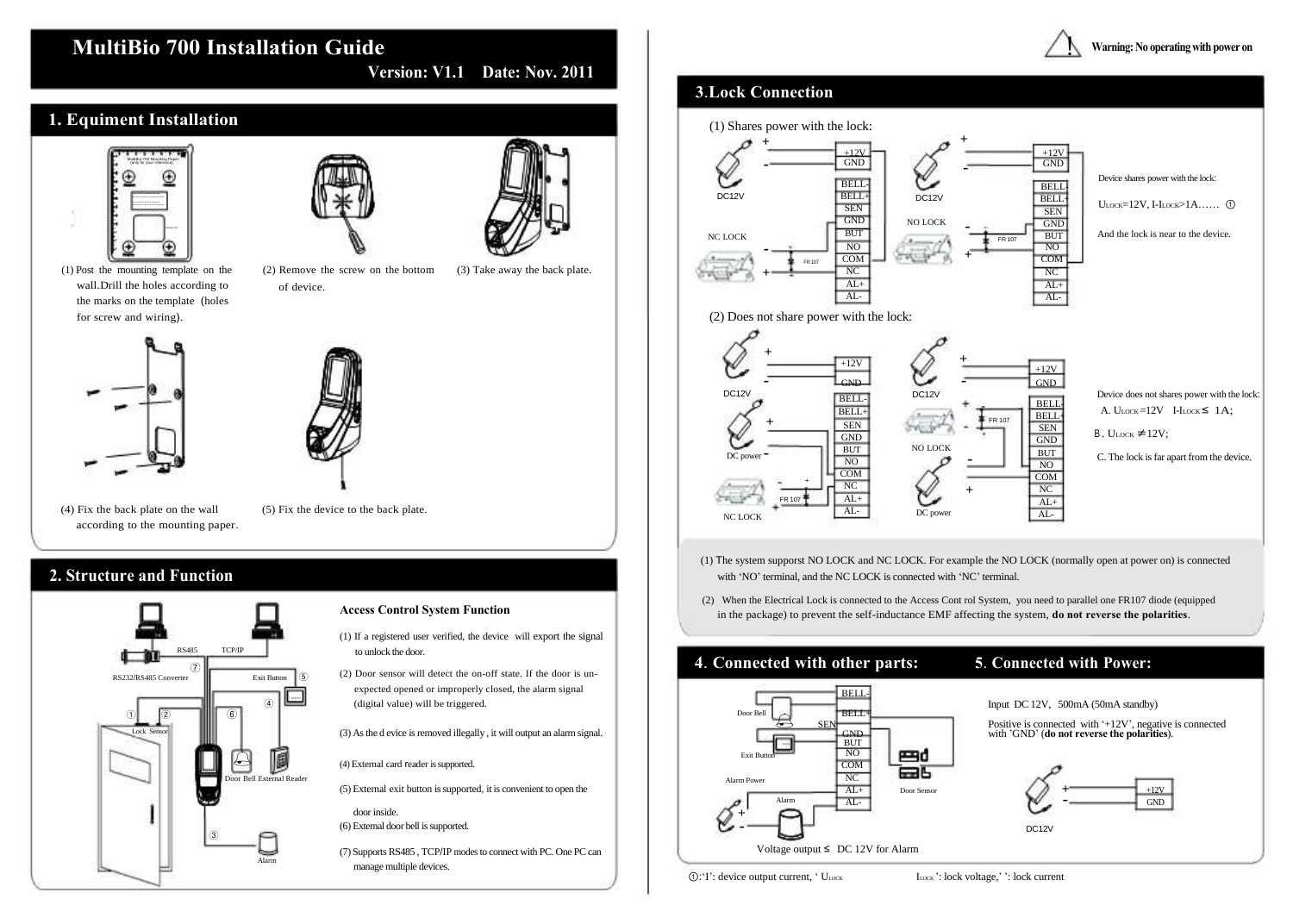# **MultiBio 700 Installation Guide**

### **1. Equiment Installation** MultiBio 700 Mounting Paper (only for your reference) **In st ru ct io n fo r th e Mo un ti ng P ap er** Be fo re t he d ev ic e is f as te ne d, p le as e st ic k th e pa pe r to t he p la ce w he re y ou wa nt t o in st al l it , th en m ak e ho le s an d la y ca bl es a cc or di ng t o th e mo un ti ng pa pe r. Wiring Hole 11 (1) Post the mounting template on the wall.Drill the holes according to the marks on the template (holes (2) Remove the screw on the bottom of device. (3) Take away the back plate. for screw and wiring). (2) Does not share power with the lock:



**Version: V1.1 Date: Nov. 2011**

## **3**.**Lock Connection**

### **Warning: No operating with power on**

 $\overline{\mathcal{I}}$ 



Device does not shares power with the lock: A.  $U_{\text{LOCK}} = 12V$  I-I<sub>LOCK</sub>  $\leq 1A$ ;

 $B. U_{\text{LOCK}} \neq 12V$ ;

Device shares power with the lock: ULOCK=12V, I-ILOCK>1A…… ①

And the lock is near to the device.

- (4) Fix the back plate on the wall according to the mounting paper.
- (5) Fix the device to the back plate.



C. The lock is far apart from the device.

## **2. Structure and Function**

### **Access Control System Function**

- (1) The system supporst NO LOCK and NC LOCK. For example the NO LOCK (normally open at power on) is connected with 'NO' terminal, and the NC LOCK is connected with 'NC' terminal.
- (2) When the Electrical Lock is connected to the Access Cont rol System, you need to parallel one FR107 diode (equipped in the package) to prevent the self-inductance EMF affecting the system, **do not reverse the polarities**.

- (1) If a registered user verified, the device will export the signal to unlock the door.
- (2) Door sensor will detect the on-off state. If the door is unexpected opened or improperly closed, the alarm signal (digital value) will be triggered.
- (3) As the d evice is removed illegally , it will output an alarm signal.
- (4) External card reader is supported.
- (5) External exit button is supported, it is convenient to open the



## **4**. **Connected with other parts: 5**. **Connected with Power:**

Input DC 12V, 500mA (50mA standby)





door inside.

- (6) External door bell is supported.
- (7) Supports RS485 , TCP/IP modes to connect with PC. One PC can manage multiple devices.